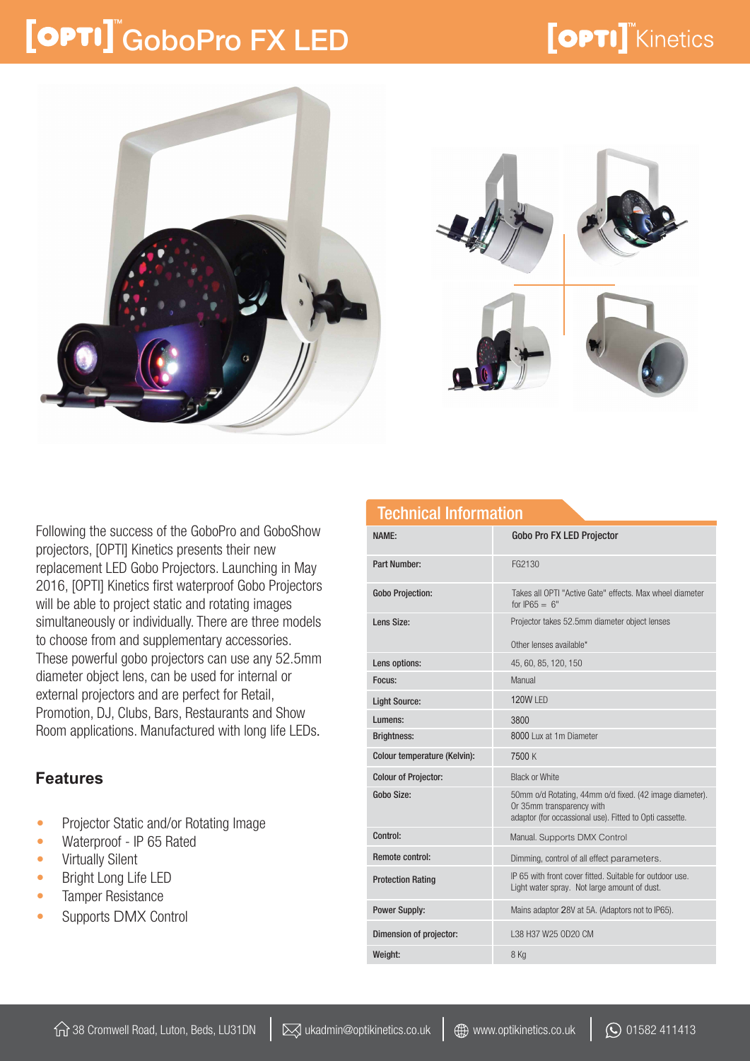### [OPTI] GoboPro FX LED

### **[OPTI]** Kinetics





Following the success of the GoboPro and GoboShow projectors, [OPTI] Kinetics presents their new replacement LED Gobo Projectors. Launching in May 2016, [OPTI] Kinetics first waterproof Gobo Projectors will be able to project static and rotating images simultaneously or individually. There are three models to choose from and supplementary accessories. These powerful gobo projectors can use any 52.5mm diameter object lens, can be used for internal or external projectors and are perfect for Retail, Promotion, DJ, Clubs, Bars, Restaurants and Show Room applications. Manufactured with long life LEDs.

#### **Features**

- Projector Static and/or Rotating Image
- Waterproof IP 65 Rated
- Virtually Silent
- Bright Long Life LED
- Tamper Resistance
- Supports DMX Control

| NAMF:                        | <b>Gobo Pro FX LED Projector</b>                                                                                                                |
|------------------------------|-------------------------------------------------------------------------------------------------------------------------------------------------|
| <b>Part Number:</b>          | FG2130                                                                                                                                          |
| <b>Gobo Projection:</b>      | Takes all OPTI "Active Gate" effects. Max wheel diameter<br>for $IP65 = 6"$                                                                     |
| Lens Size:                   | Projector takes 52.5mm diameter object lenses<br>Other lenses available*                                                                        |
|                              |                                                                                                                                                 |
| Lens options:                | 45, 60, 85, 120, 150                                                                                                                            |
| Focus:                       | Manual                                                                                                                                          |
| <b>Light Source:</b>         | 120W LED                                                                                                                                        |
| Lumens:                      | 3800                                                                                                                                            |
| <b>Brightness:</b>           | 8000 Lux at 1m Diameter                                                                                                                         |
| Colour temperature (Kelvin): | 7500 K                                                                                                                                          |
| <b>Colour of Projector:</b>  | <b>Black or White</b>                                                                                                                           |
| Gobo Size:                   | 50mm o/d Rotating, 44mm o/d fixed. (42 image diameter).<br>Or 35mm transparency with<br>adaptor (for occassional use). Fitted to Opti cassette. |
| Control:                     | Manual. Supports DMX Control                                                                                                                    |
| <b>Remote control:</b>       | Dimming, control of all effect parameters.                                                                                                      |
| <b>Protection Rating</b>     | IP 65 with front cover fitted. Suitable for outdoor use<br>Light water spray. Not large amount of dust.                                         |
| <b>Power Supply:</b>         | Mains adaptor 28V at 5A. (Adaptors not to IP65).                                                                                                |
| Dimension of projector:      | L38 H37 W25 OD20 CM                                                                                                                             |
| Weight:                      | 8 Kg                                                                                                                                            |

Technical Information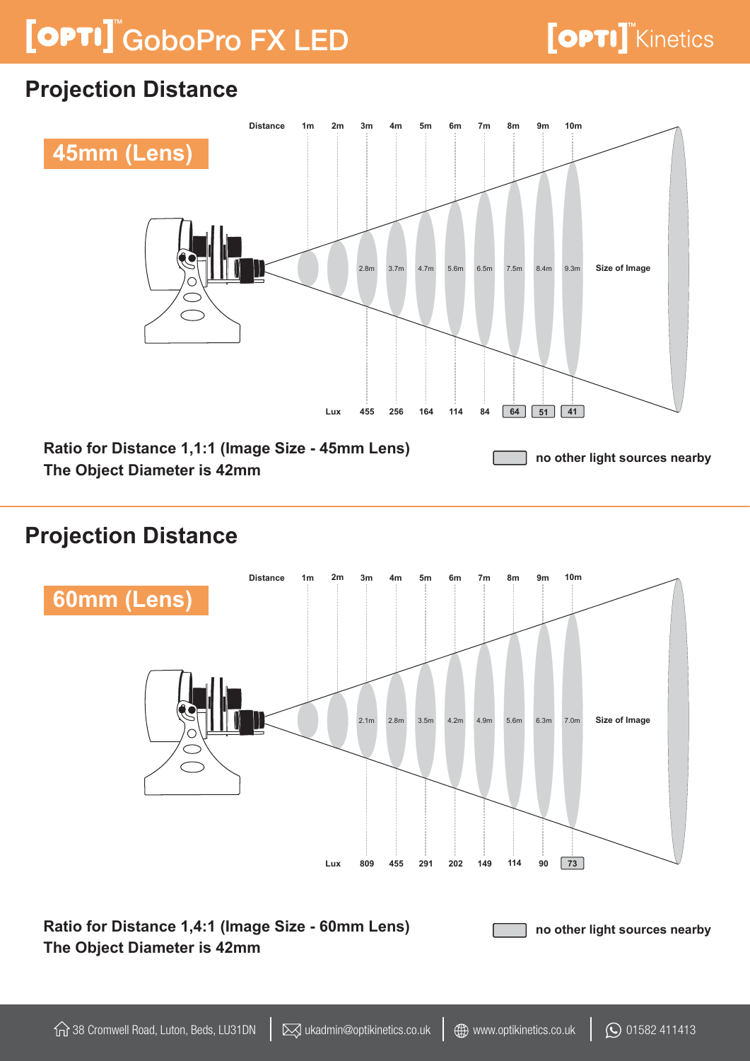# [OPTI] GoboPro FX LED

### **Projection Distance**



#### **Projection Distance**



**Ratio for Distance 1,4:1 (Image Size - 60mm Lens) The Object Diameter is 42mm no other light sources nearby**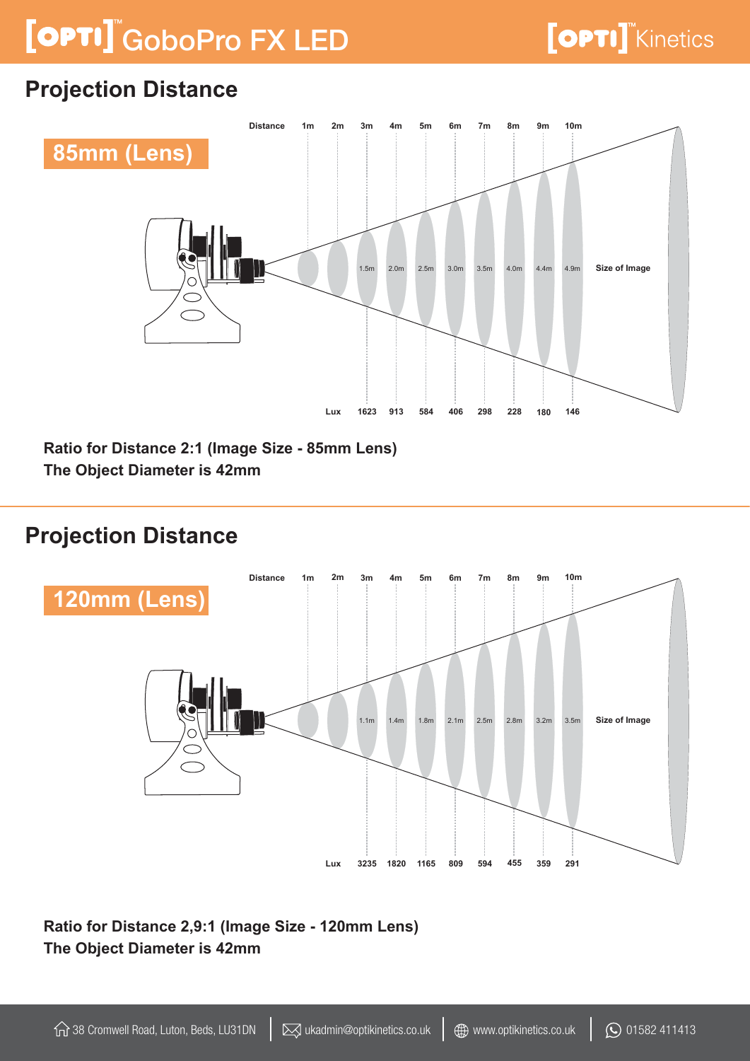# [OPTI] GoboPro FX LED

### **Projection Distance**



**Ratio for Distance 2:1 (Image Size - 85mm Lens) The Object Diameter is 42mm** 

### **Projection Distance**



**Ratio for Distance 2,9:1 (Image Size - 120mm Lens) The Object Diameter is 42mm**